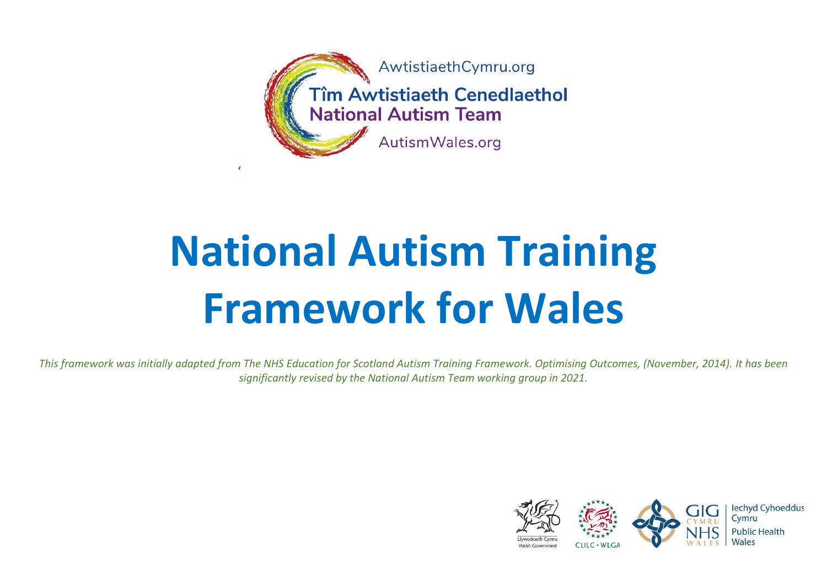

# **National Autism Training Framework for Wales**

*This framework was initially adapted from The NHS Education for Scotland Autism Training Framework. Optimising Outcomes, (November, 2014). It has been significantly revised by the National Autism Team working group in 2021.*

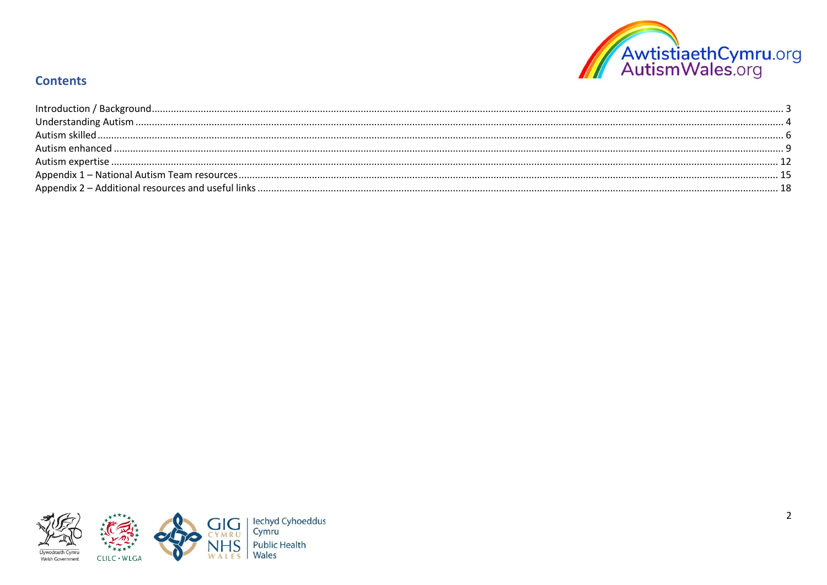

## **Contents**

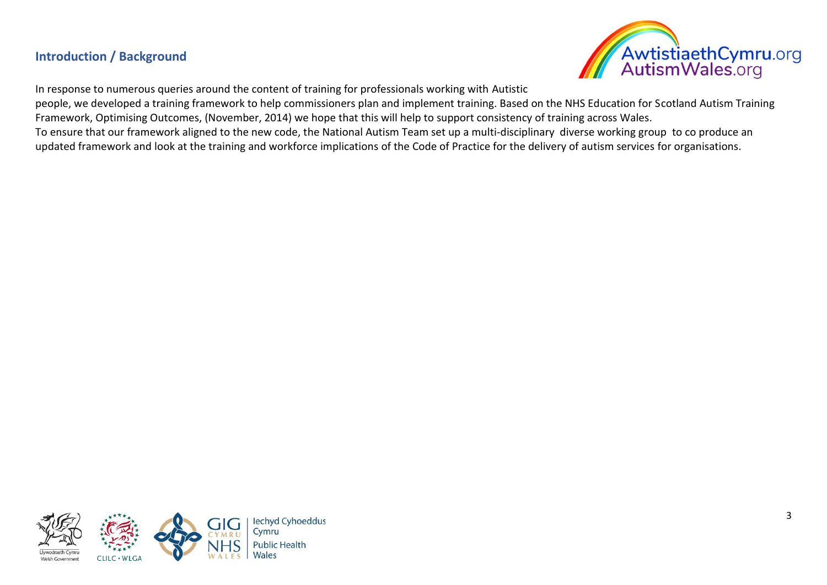## <span id="page-2-0"></span>**Introduction / Background**



In response to numerous queries around the content of training for professionals working with Autistic

people, we developed a training framework to help commissioners plan and implement training. Based on the NHS Education for Scotland Autism Training Framework, Optimising Outcomes, (November, 2014) we hope that this will help to support consistency of training across Wales.

To ensure that our framework aligned to the new code, the National Autism Team set up a multi-disciplinary diverse working group to co produce an updated framework and look at the training and workforce implications of the Code of Practice for the delivery of autism services for organisations.

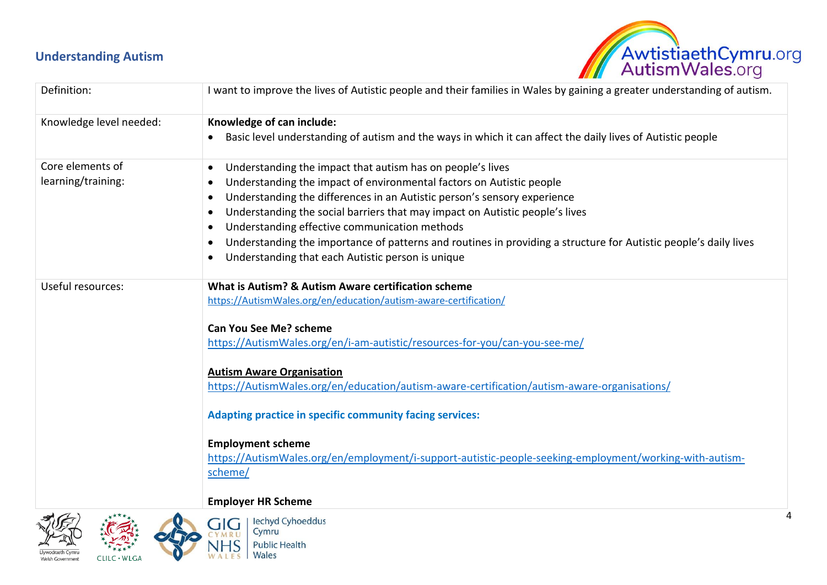## <span id="page-3-0"></span>**Understanding Autism**



| I want to improve the lives of Autistic people and their families in Wales by gaining a greater understanding of autism.      |
|-------------------------------------------------------------------------------------------------------------------------------|
| Knowledge of can include:                                                                                                     |
| Basic level understanding of autism and the ways in which it can affect the daily lives of Autistic people                    |
| Understanding the impact that autism has on people's lives<br>$\bullet$                                                       |
| Understanding the impact of environmental factors on Autistic people<br>$\bullet$                                             |
| Understanding the differences in an Autistic person's sensory experience<br>$\bullet$                                         |
| Understanding the social barriers that may impact on Autistic people's lives                                                  |
| Understanding effective communication methods                                                                                 |
| Understanding the importance of patterns and routines in providing a structure for Autistic people's daily lives<br>$\bullet$ |
| Understanding that each Autistic person is unique                                                                             |
| What is Autism? & Autism Aware certification scheme                                                                           |
| https://AutismWales.org/en/education/autism-aware-certification/                                                              |
| <b>Can You See Me? scheme</b>                                                                                                 |
| https://AutismWales.org/en/i-am-autistic/resources-for-you/can-you-see-me/                                                    |
| <b>Autism Aware Organisation</b>                                                                                              |
| https://AutismWales.org/en/education/autism-aware-certification/autism-aware-organisations/                                   |
| <b>Adapting practice in specific community facing services:</b>                                                               |
| <b>Employment scheme</b>                                                                                                      |
| https://AutismWales.org/en/employment/i-support-autistic-people-seeking-employment/working-with-autism-                       |
| scheme/                                                                                                                       |
| <b>Employer HR Scheme</b>                                                                                                     |
|                                                                                                                               |





| lechyd Cyhoeddus<br>| Cymru **Public Health** Wales

**RU** 

IS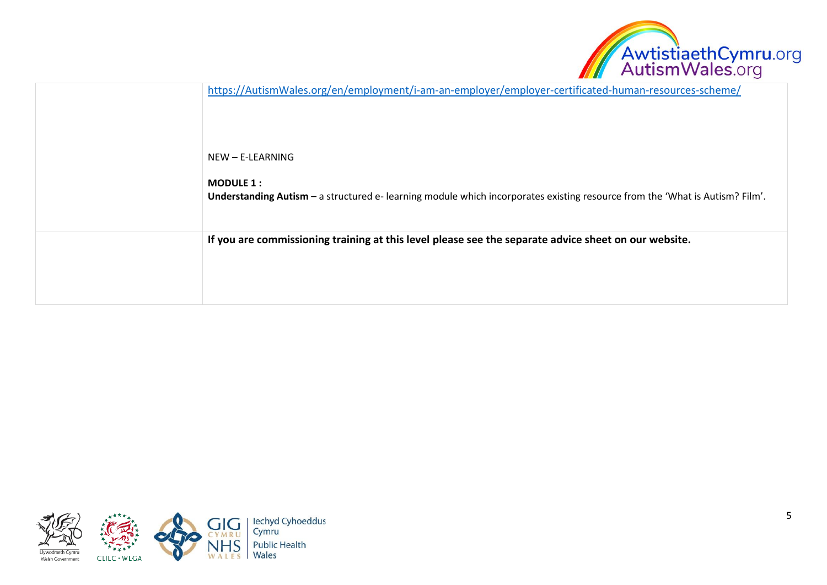

| https://AutismWales.org/en/employment/i-am-an-employer/employer-certificated-human-resources-scheme/                                             |
|--------------------------------------------------------------------------------------------------------------------------------------------------|
| NEW - E-LEARNING                                                                                                                                 |
| <b>MODULE 1:</b><br>Understanding Autism - a structured e- learning module which incorporates existing resource from the 'What is Autism? Film'. |
| If you are commissioning training at this level please see the separate advice sheet on our website.                                             |

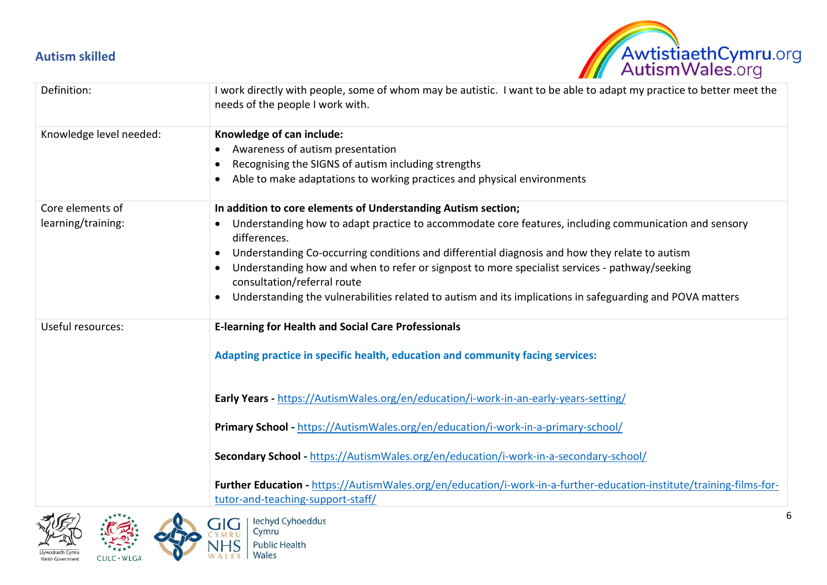## <span id="page-5-0"></span>**Autism skilled**



| Definition:                            | I work directly with people, some of whom may be autistic. I want to be able to adapt my practice to better meet the<br>needs of the people I work with.                                                                                                                                                                                                                                                                                                                                                                              |
|----------------------------------------|---------------------------------------------------------------------------------------------------------------------------------------------------------------------------------------------------------------------------------------------------------------------------------------------------------------------------------------------------------------------------------------------------------------------------------------------------------------------------------------------------------------------------------------|
| Knowledge level needed:                | Knowledge of can include:<br>Awareness of autism presentation<br>$\bullet$<br>Recognising the SIGNS of autism including strengths<br>Able to make adaptations to working practices and physical environments                                                                                                                                                                                                                                                                                                                          |
| Core elements of<br>learning/training: | In addition to core elements of Understanding Autism section;<br>Understanding how to adapt practice to accommodate core features, including communication and sensory<br>differences.<br>Understanding Co-occurring conditions and differential diagnosis and how they relate to autism<br>Understanding how and when to refer or signpost to more specialist services - pathway/seeking<br>consultation/referral route<br>Understanding the vulnerabilities related to autism and its implications in safeguarding and POVA matters |
| Useful resources:                      | <b>E-learning for Health and Social Care Professionals</b><br>Adapting practice in specific health, education and community facing services:                                                                                                                                                                                                                                                                                                                                                                                          |
|                                        | Early Years - https://AutismWales.org/en/education/i-work-in-an-early-years-setting/                                                                                                                                                                                                                                                                                                                                                                                                                                                  |
|                                        | Primary School - https://AutismWales.org/en/education/i-work-in-a-primary-school/                                                                                                                                                                                                                                                                                                                                                                                                                                                     |
|                                        | Secondary School - https://AutismWales.org/en/education/i-work-in-a-secondary-school/                                                                                                                                                                                                                                                                                                                                                                                                                                                 |
|                                        | Further Education - https://AutismWales.org/en/education/i-work-in-a-further-education-institute/training-films-for-<br>tutor-and-teaching-support-staff/                                                                                                                                                                                                                                                                                                                                                                             |





Wales

W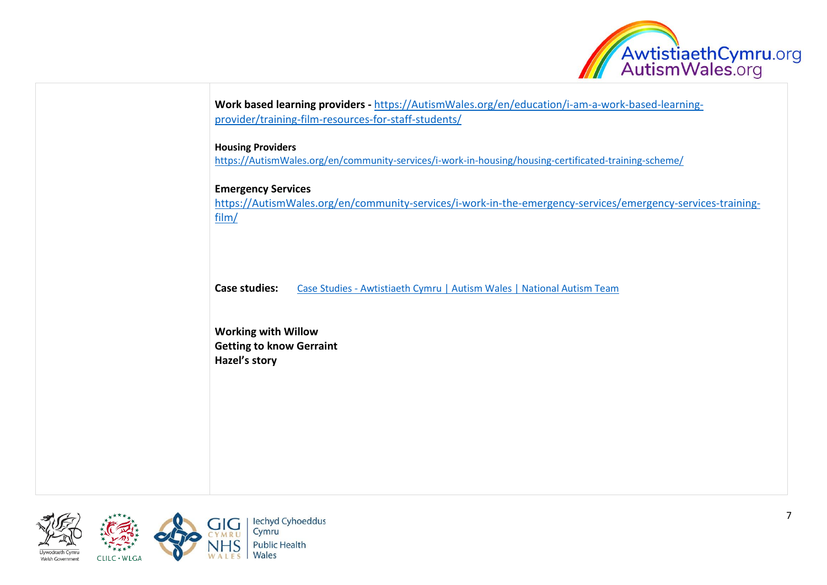

| <b>Housing Providers</b><br>https://AutismWales.org/en/community-services/i-work-in-housing/housing-certificated-training-scheme/<br><b>Emergency Services</b><br>https://AutismWales.org/en/community-services/i-work-in-the-emergency-services/emergency-services-training-<br>film/<br><b>Case studies:</b><br>Case Studies - Awtistiaeth Cymru   Autism Wales   National Autism Team<br><b>Working with Willow</b><br><b>Getting to know Gerraint</b><br>Hazel's story | Work based learning providers - https://AutismWales.org/en/education/i-am-a-work-based-learning- |
|----------------------------------------------------------------------------------------------------------------------------------------------------------------------------------------------------------------------------------------------------------------------------------------------------------------------------------------------------------------------------------------------------------------------------------------------------------------------------|--------------------------------------------------------------------------------------------------|
|                                                                                                                                                                                                                                                                                                                                                                                                                                                                            |                                                                                                  |
|                                                                                                                                                                                                                                                                                                                                                                                                                                                                            |                                                                                                  |
|                                                                                                                                                                                                                                                                                                                                                                                                                                                                            |                                                                                                  |
|                                                                                                                                                                                                                                                                                                                                                                                                                                                                            |                                                                                                  |
|                                                                                                                                                                                                                                                                                                                                                                                                                                                                            |                                                                                                  |

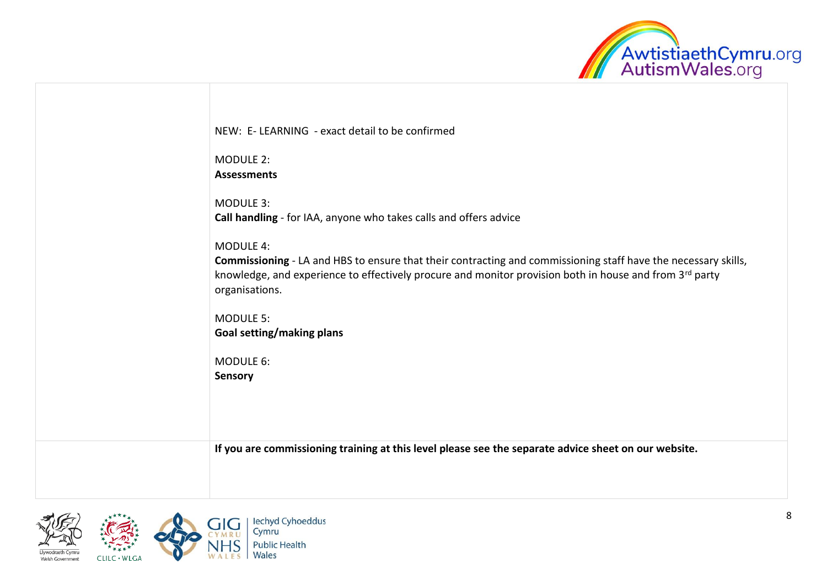

| NEW: E-LEARNING - exact detail to be confirmed<br><b>MODULE 2:</b><br><b>Assessments</b><br><b>MODULE 3:</b><br>Call handling - for IAA, anyone who takes calls and offers advice<br><b>MODULE 4:</b><br>Commissioning - LA and HBS to ensure that their contracting and commissioning staff have the necessary skills,<br>knowledge, and experience to effectively procure and monitor provision both in house and from 3rd party<br>organisations.<br><b>MODULE 5:</b><br>Goal setting/making plans<br>MODULE 6:<br><b>Sensory</b><br>If you are commissioning training at this level please see the separate advice sheet on our website. |  |
|----------------------------------------------------------------------------------------------------------------------------------------------------------------------------------------------------------------------------------------------------------------------------------------------------------------------------------------------------------------------------------------------------------------------------------------------------------------------------------------------------------------------------------------------------------------------------------------------------------------------------------------------|--|
|                                                                                                                                                                                                                                                                                                                                                                                                                                                                                                                                                                                                                                              |  |
|                                                                                                                                                                                                                                                                                                                                                                                                                                                                                                                                                                                                                                              |  |
|                                                                                                                                                                                                                                                                                                                                                                                                                                                                                                                                                                                                                                              |  |
|                                                                                                                                                                                                                                                                                                                                                                                                                                                                                                                                                                                                                                              |  |
|                                                                                                                                                                                                                                                                                                                                                                                                                                                                                                                                                                                                                                              |  |
|                                                                                                                                                                                                                                                                                                                                                                                                                                                                                                                                                                                                                                              |  |
|                                                                                                                                                                                                                                                                                                                                                                                                                                                                                                                                                                                                                                              |  |
|                                                                                                                                                                                                                                                                                                                                                                                                                                                                                                                                                                                                                                              |  |
|                                                                                                                                                                                                                                                                                                                                                                                                                                                                                                                                                                                                                                              |  |

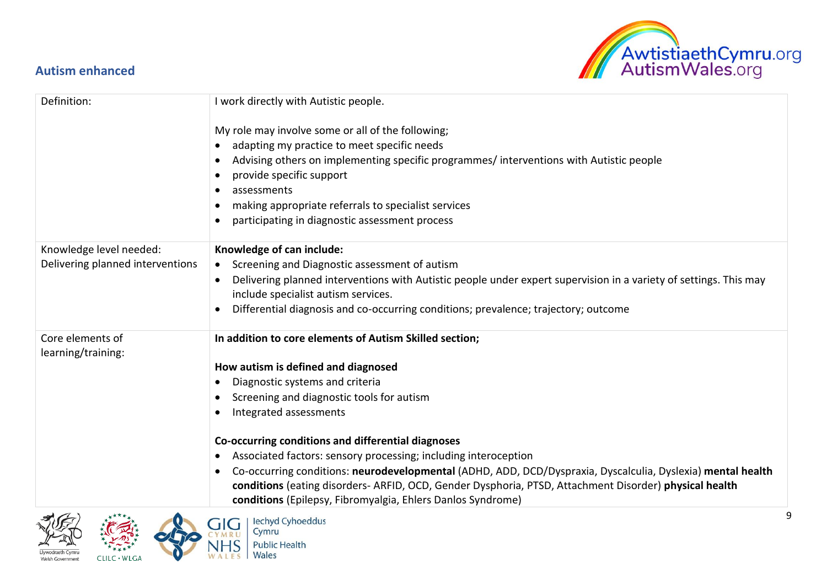## <span id="page-8-0"></span>**Autism enhanced**



| Definition:                            | I work directly with Autistic people.                                                                                                                                                                                                                                                            |
|----------------------------------------|--------------------------------------------------------------------------------------------------------------------------------------------------------------------------------------------------------------------------------------------------------------------------------------------------|
|                                        | My role may involve some or all of the following;                                                                                                                                                                                                                                                |
|                                        | adapting my practice to meet specific needs                                                                                                                                                                                                                                                      |
|                                        | Advising others on implementing specific programmes/ interventions with Autistic people                                                                                                                                                                                                          |
|                                        | provide specific support                                                                                                                                                                                                                                                                         |
|                                        | assessments                                                                                                                                                                                                                                                                                      |
|                                        | making appropriate referrals to specialist services                                                                                                                                                                                                                                              |
|                                        | participating in diagnostic assessment process                                                                                                                                                                                                                                                   |
| Knowledge level needed:                | Knowledge of can include:                                                                                                                                                                                                                                                                        |
| Delivering planned interventions       | Screening and Diagnostic assessment of autism<br>$\bullet$                                                                                                                                                                                                                                       |
|                                        | Delivering planned interventions with Autistic people under expert supervision in a variety of settings. This may<br>include specialist autism services.                                                                                                                                         |
|                                        | Differential diagnosis and co-occurring conditions; prevalence; trajectory; outcome                                                                                                                                                                                                              |
| Core elements of<br>learning/training: | In addition to core elements of Autism Skilled section;                                                                                                                                                                                                                                          |
|                                        | How autism is defined and diagnosed                                                                                                                                                                                                                                                              |
|                                        | Diagnostic systems and criteria<br>$\bullet$                                                                                                                                                                                                                                                     |
|                                        | Screening and diagnostic tools for autism                                                                                                                                                                                                                                                        |
|                                        | Integrated assessments                                                                                                                                                                                                                                                                           |
|                                        | Co-occurring conditions and differential diagnoses                                                                                                                                                                                                                                               |
|                                        | Associated factors: sensory processing; including interoception<br>$\bullet$                                                                                                                                                                                                                     |
|                                        | Co-occurring conditions: neurodevelopmental (ADHD, ADD, DCD/Dyspraxia, Dyscalculia, Dyslexia) mental health<br>$\bullet$<br>conditions (eating disorders-ARFID, OCD, Gender Dysphoria, PTSD, Attachment Disorder) physical health<br>conditions (Epilepsy, Fibromyalgia, Ehlers Danlos Syndrome) |
| $\mathcal{A}(\mathcal{L})$             | $\bigcap I \bigcap$ I locked Cuboodduc                                                                                                                                                                                                                                                           |



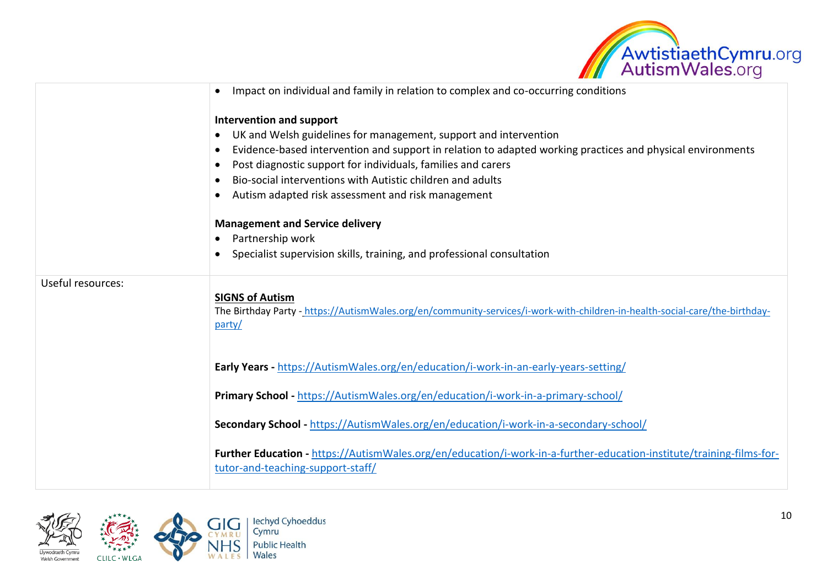

|                   | Impact on individual and family in relation to complex and co-occurring conditions                                                                              |
|-------------------|-----------------------------------------------------------------------------------------------------------------------------------------------------------------|
|                   | Intervention and support                                                                                                                                        |
|                   | UK and Welsh guidelines for management, support and intervention<br>$\bullet$                                                                                   |
|                   | Evidence-based intervention and support in relation to adapted working practices and physical environments                                                      |
|                   | Post diagnostic support for individuals, families and carers<br>$\bullet$                                                                                       |
|                   | Bio-social interventions with Autistic children and adults                                                                                                      |
|                   | Autism adapted risk assessment and risk management                                                                                                              |
|                   | <b>Management and Service delivery</b>                                                                                                                          |
|                   | Partnership work                                                                                                                                                |
|                   | Specialist supervision skills, training, and professional consultation                                                                                          |
| Useful resources: | <b>SIGNS of Autism</b><br>The Birthday Party - https://AutismWales.org/en/community-services/i-work-with-children-in-health-social-care/the-birthday-<br>party/ |
|                   | Early Years - https://AutismWales.org/en/education/i-work-in-an-early-years-setting/                                                                            |
|                   | Primary School - https://AutismWales.org/en/education/i-work-in-a-primary-school/                                                                               |
|                   | Secondary School - https://AutismWales.org/en/education/i-work-in-a-secondary-school/                                                                           |
|                   | Further Education - https://AutismWales.org/en/education/i-work-in-a-further-education-institute/training-films-for-<br>tutor-and-teaching-support-staff/       |

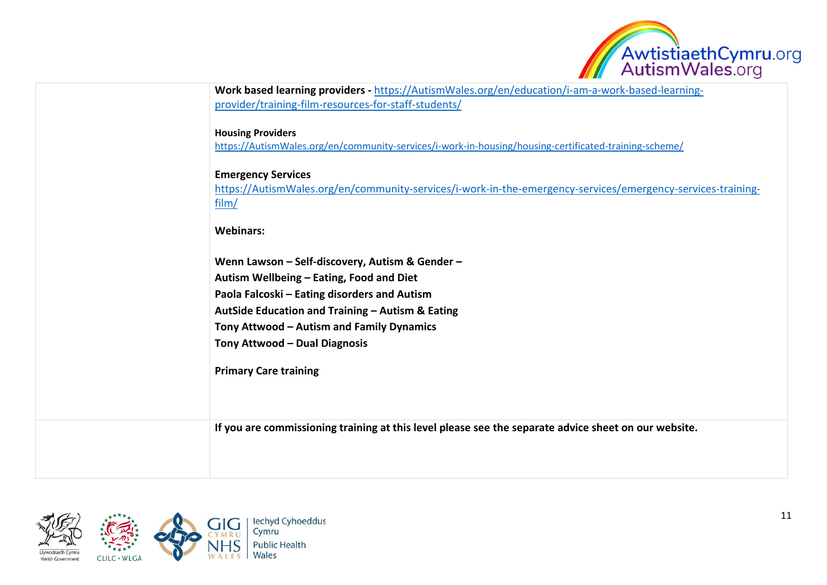

| Work based learning providers - https://AutismWales.org/en/education/i-am-a-work-based-learning-<br>provider/training-film-resources-for-staff-students/ |
|----------------------------------------------------------------------------------------------------------------------------------------------------------|
|                                                                                                                                                          |
| <b>Housing Providers</b>                                                                                                                                 |
| https://AutismWales.org/en/community-services/i-work-in-housing/housing-certificated-training-scheme/                                                    |
| <b>Emergency Services</b>                                                                                                                                |
| https://AutismWales.org/en/community-services/i-work-in-the-emergency-services/emergency-services-training-                                              |
| film/                                                                                                                                                    |
| <b>Webinars:</b>                                                                                                                                         |
|                                                                                                                                                          |
| Wenn Lawson - Self-discovery, Autism & Gender -                                                                                                          |
| Autism Wellbeing - Eating, Food and Diet                                                                                                                 |
| Paola Falcoski - Eating disorders and Autism                                                                                                             |
| AutSide Education and Training - Autism & Eating                                                                                                         |
| Tony Attwood - Autism and Family Dynamics                                                                                                                |
| Tony Attwood - Dual Diagnosis                                                                                                                            |
| <b>Primary Care training</b>                                                                                                                             |
|                                                                                                                                                          |
|                                                                                                                                                          |
| If you are commissioning training at this level please see the separate advice sheet on our website.                                                     |
|                                                                                                                                                          |
|                                                                                                                                                          |
|                                                                                                                                                          |

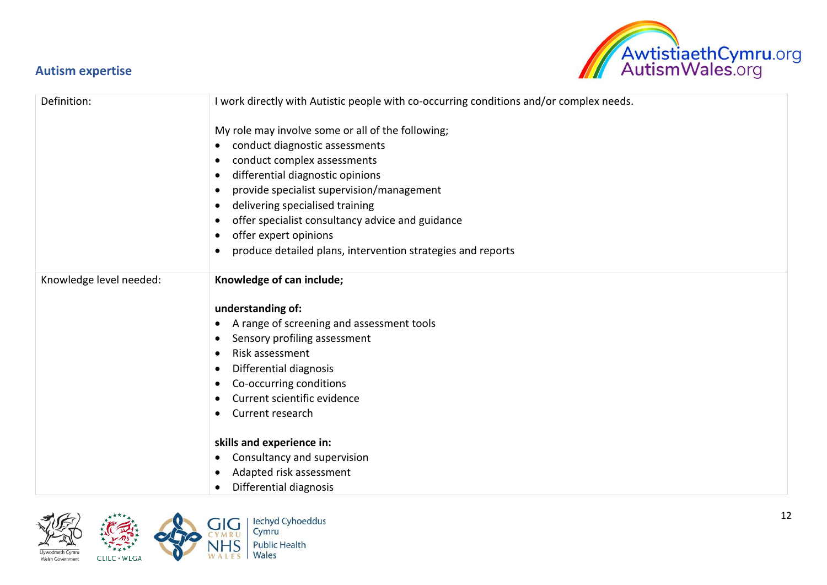## <span id="page-11-0"></span>**Autism expertise**



| Definition:             | I work directly with Autistic people with co-occurring conditions and/or complex needs. |
|-------------------------|-----------------------------------------------------------------------------------------|
|                         | My role may involve some or all of the following;                                       |
|                         | conduct diagnostic assessments<br>$\bullet$                                             |
|                         | conduct complex assessments<br>$\bullet$                                                |
|                         | differential diagnostic opinions<br>$\bullet$                                           |
|                         | provide specialist supervision/management<br>$\bullet$                                  |
|                         | delivering specialised training                                                         |
|                         | offer specialist consultancy advice and guidance                                        |
|                         | offer expert opinions<br>$\bullet$                                                      |
|                         | produce detailed plans, intervention strategies and reports                             |
| Knowledge level needed: | Knowledge of can include;                                                               |
|                         | understanding of:                                                                       |
|                         | A range of screening and assessment tools                                               |
|                         | Sensory profiling assessment<br>$\bullet$                                               |
|                         | Risk assessment<br>$\bullet$                                                            |
|                         | Differential diagnosis                                                                  |
|                         | Co-occurring conditions                                                                 |
|                         | Current scientific evidence                                                             |
|                         | Current research                                                                        |
|                         | skills and experience in:                                                               |
|                         | • Consultancy and supervision                                                           |
|                         | Adapted risk assessment                                                                 |
|                         | Differential diagnosis                                                                  |

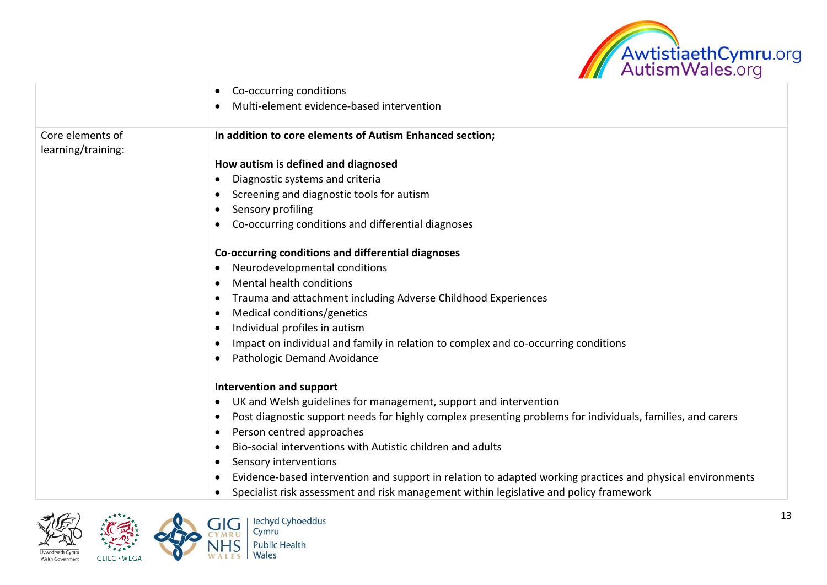

|                    | Co-occurring conditions<br>$\bullet$                                                                       |
|--------------------|------------------------------------------------------------------------------------------------------------|
|                    | Multi-element evidence-based intervention                                                                  |
|                    |                                                                                                            |
| Core elements of   | In addition to core elements of Autism Enhanced section;                                                   |
| learning/training: |                                                                                                            |
|                    | How autism is defined and diagnosed                                                                        |
|                    | Diagnostic systems and criteria                                                                            |
|                    | Screening and diagnostic tools for autism                                                                  |
|                    | Sensory profiling                                                                                          |
|                    | Co-occurring conditions and differential diagnoses                                                         |
|                    |                                                                                                            |
|                    | Co-occurring conditions and differential diagnoses                                                         |
|                    | Neurodevelopmental conditions                                                                              |
|                    | Mental health conditions                                                                                   |
|                    | Trauma and attachment including Adverse Childhood Experiences                                              |
|                    | Medical conditions/genetics                                                                                |
|                    | Individual profiles in autism                                                                              |
|                    | Impact on individual and family in relation to complex and co-occurring conditions                         |
|                    | Pathologic Demand Avoidance                                                                                |
|                    |                                                                                                            |
|                    | <b>Intervention and support</b>                                                                            |
|                    | UK and Welsh guidelines for management, support and intervention                                           |
|                    | Post diagnostic support needs for highly complex presenting problems for individuals, families, and carers |
|                    | Person centred approaches                                                                                  |
|                    | Bio-social interventions with Autistic children and adults                                                 |
|                    | Sensory interventions                                                                                      |
|                    | Evidence-based intervention and support in relation to adapted working practices and physical environments |
|                    | Specialist risk assessment and risk management within legislative and policy framework                     |
|                    |                                                                                                            |

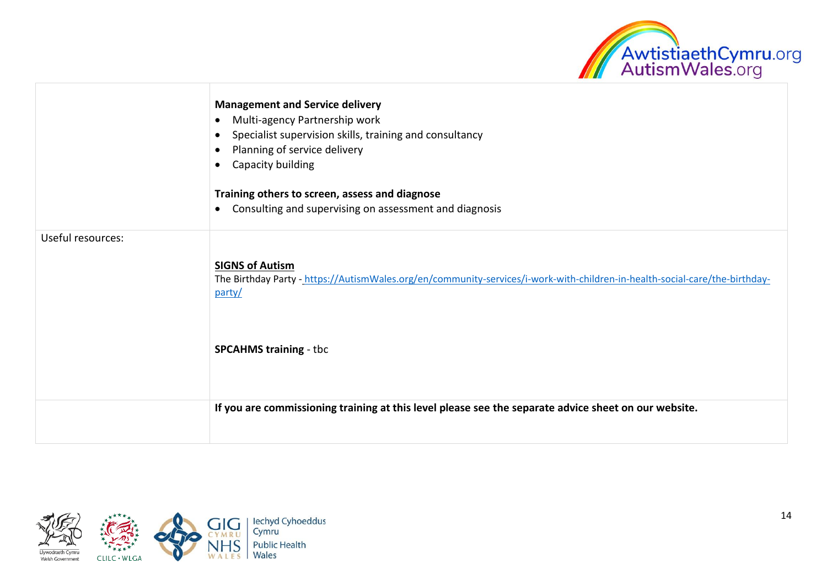

|                   | <b>Management and Service delivery</b><br>Multi-agency Partnership work<br>$\bullet$<br>Specialist supervision skills, training and consultancy<br>$\bullet$<br>Planning of service delivery<br>Capacity building<br>$\bullet$<br>Training others to screen, assess and diagnose<br>Consulting and supervising on assessment and diagnosis<br>$\bullet$ |
|-------------------|---------------------------------------------------------------------------------------------------------------------------------------------------------------------------------------------------------------------------------------------------------------------------------------------------------------------------------------------------------|
| Useful resources: | <b>SIGNS of Autism</b><br>The Birthday Party - https://AutismWales.org/en/community-services/i-work-with-children-in-health-social-care/the-birthday-<br>party/                                                                                                                                                                                         |
|                   | <b>SPCAHMS training - tbc</b>                                                                                                                                                                                                                                                                                                                           |
|                   | If you are commissioning training at this level please see the separate advice sheet on our website.                                                                                                                                                                                                                                                    |

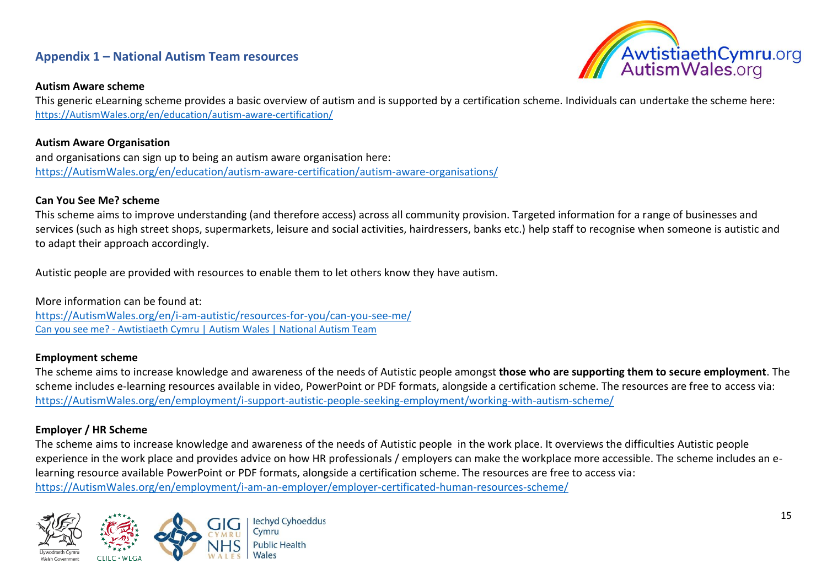## <span id="page-14-0"></span>**Appendix 1 – National Autism Team resources**

#### **Autism Aware scheme**

AwtistiaethCymru.org<br>AutismWales.org

This generic eLearning scheme provides a basic overview of autism and is supported by a certification scheme. Individuals can undertake the scheme here: [https://AutismWales.org/en/education/autism-aware-certification/](https://autismwales.org/en/education/autism-aware-certification/)

#### **Autism Aware Organisation**

and organisations can sign up to being an autism aware organisation here: [https://AutismWales.org/en/education/autism-aware-certification/autism-aware-organisations/](https://autismwales.org/en/education/autism-aware-certification/autism-aware-organisations/)

#### **Can You See Me? scheme**

This scheme aims to improve understanding (and therefore access) across all community provision. Targeted information for a range of businesses and services (such as high street shops, supermarkets, leisure and social activities, hairdressers, banks etc.) help staff to recognise when someone is autistic and to adapt their approach accordingly.

Autistic people are provided with resources to enable them to let others know they have autism.

More information can be found at: [https://AutismWales.org/en/i-am-autistic/resources-for-you/can-you-see-me/](https://autismwales.org/en/i-am-autistic/resources-for-you/can-you-see-me/) Can you see me? - [Awtistiaeth Cymru | Autism Wales | National Autism Team](https://autismwales.org/en/i-am-autistic/resources-for-you/can-you-see-me/)

#### **Employment scheme**

The scheme aims to increase knowledge and awareness of the needs of Autistic people amongst **those who are supporting them to secure employment**. The scheme includes e-learning resources available in video, PowerPoint or PDF formats, alongside a certification scheme. The resources are free to access via: [https://AutismWales.org/en/employment/i-support-autistic-people-seeking-employment/working-with-autism-scheme/](https://autismwales.org/en/employment/i-support-autistic-people-seeking-employment/working-with-autism-scheme/)

#### **Employer / HR Scheme**

The scheme aims to increase knowledge and awareness of the needs of Autistic people in the work place. It overviews the difficulties Autistic people experience in the work place and provides advice on how HR professionals / employers can make the workplace more accessible. The scheme includes an elearning resource available PowerPoint or PDF formats, alongside a certification scheme. The resources are free to access via: [https://AutismWales.org/en/employment/i-am-an-employer/employer-certificated-human-resources-scheme/](https://autismwales.org/en/employment/i-am-an-employer/employer-certificated-human-resources-scheme/)

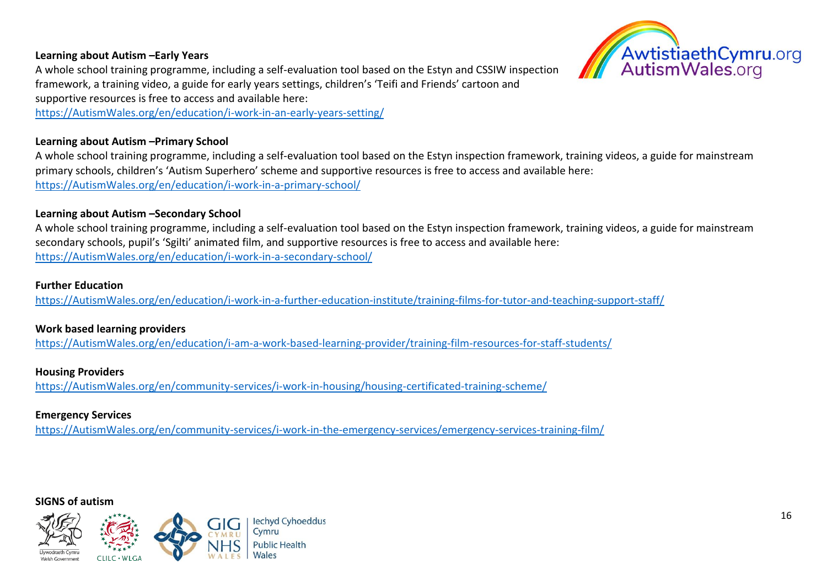#### **Learning about Autism –Early Years**



A whole school training programme, including a self-evaluation tool based on the Estyn and CSSIW inspection framework, a training video, a guide for early years settings, children's 'Teifi and Friends' cartoon and supportive resources is free to access and available here:

[https://AutismWales.org/en/education/i-work-in-an-early-years-setting/](https://autismwales.org/en/education/i-work-in-an-early-years-setting/)

#### **Learning about Autism –Primary School**

A whole school training programme, including a self-evaluation tool based on the Estyn inspection framework, training videos, a guide for mainstream primary schools, children's 'Autism Superhero' scheme and supportive resources is free to access and available here: [https://AutismWales.org/en/education/i-work-in-a-primary-school/](http://www.asdinfowales.co.uk/primary-school)

#### **Learning about Autism –Secondary School**

A whole school training programme, including a self-evaluation tool based on the Estyn inspection framework, training videos, a guide for mainstream secondary schools, pupil's 'Sgilti' animated film, and supportive resources is free to access and available here: [https://AutismWales.org/en/education/i-work-in-a-secondary-school/](https://autismwales.org/en/education/i-work-in-a-secondary-school/)

#### **Further Education**

[https://AutismWales.org/en/education/i-work-in-a-further-education-institute/training-films-for-tutor-and-teaching-support-staff/](https://autismwales.org/en/education/i-work-in-a-further-education-institute/training-films-for-tutor-and-teaching-support-staff/)

#### **Work based learning providers**

[https://AutismWales.org/en/education/i-am-a-work-based-learning-provider/training-film-resources-for-staff-students/](https://autismwales.org/en/education/i-am-a-work-based-learning-provider/training-film-resources-for-staff-students/)

#### **Housing Providers**

[https://AutismWales.org/en/community-services/i-work-in-housing/housing-certificated-training-scheme/](https://autismwales.org/en/community-services/i-work-in-housing/housing-certificated-training-scheme/)

#### **Emergency Services**

[https://AutismWales.org/en/community-services/i-work-in-the-emergency-services/emergency-services-training-film/](https://autismwales.org/en/community-services/i-work-in-the-emergency-services/emergency-services-training-film/)

#### **SIGNS of autism**

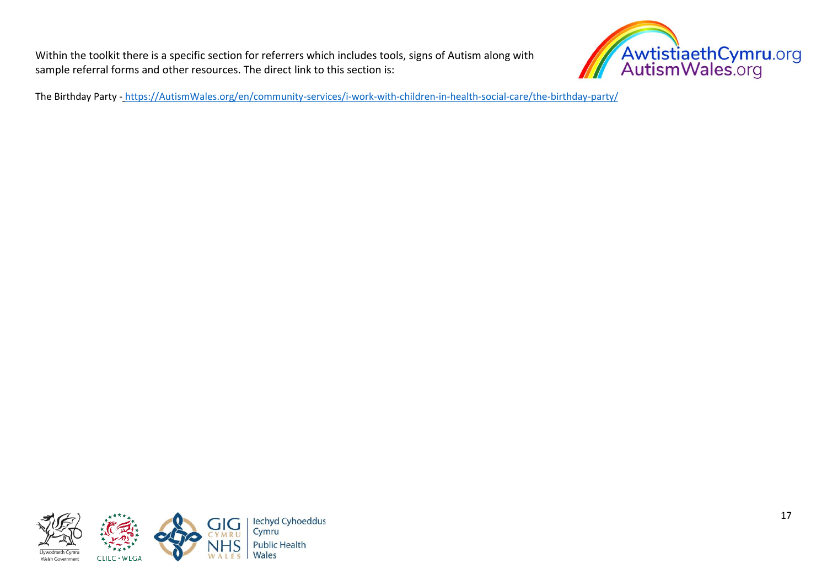Within the toolkit there is a specific section for referrers which includes tools, signs of Autism along with sample referral forms and other resources. The direct link to this section is:



The Birthday Party - [https://AutismWales.org/en/community-services/i-work-with-children-in-health-social-care/the-birthday-party/](https://autismwales.org/en/community-services/i-work-with-children-in-health-social-care/the-birthday-party/)